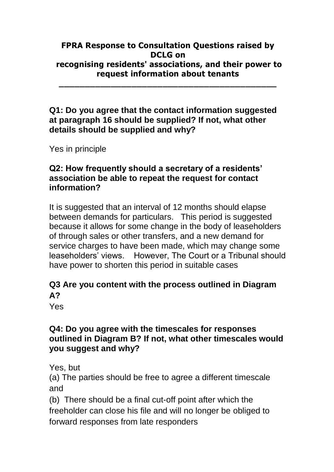#### **FPRA Response to Consultation Questions raised by DCLG on recognising residents' associations, and their power to request information about tenants**

**\_\_\_\_\_\_\_\_\_\_\_\_\_\_\_\_\_\_\_\_\_\_\_\_\_\_\_\_\_\_\_\_\_\_\_\_\_\_\_\_\_\_**

#### **Q1: Do you agree that the contact information suggested at paragraph 16 should be supplied? If not, what other details should be supplied and why?**

Yes in principle

# **Q2: How frequently should a secretary of a residents' association be able to repeat the request for contact information?**

It is suggested that an interval of 12 months should elapse between demands for particulars. This period is suggested because it allows for some change in the body of leaseholders of through sales or other transfers, and a new demand for service charges to have been made, which may change some leaseholders' views. However, The Court or a Tribunal should have power to shorten this period in suitable cases

# **Q3 Are you content with the process outlined in Diagram A?**

Yes

# **Q4: Do you agree with the timescales for responses outlined in Diagram B? If not, what other timescales would you suggest and why?**

Yes, but

(a) The parties should be free to agree a different timescale and

(b) There should be a final cut-off point after which the freeholder can close his file and will no longer be obliged to forward responses from late responders